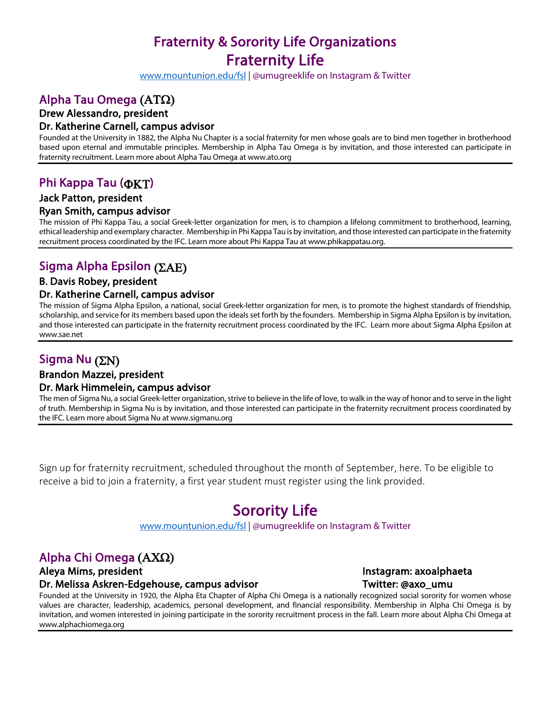# Fraternity & Sorority Life Organizations **Fraternity Life**<br>www.mountunion.edu/fsl | @umugreeklife on Instagram & Twitter

## Alpha Tau Omega  $(AT\Omega)$

## Drew Alessandro, president

### Dr. Katherine Carnell, campus advisor

Founded at the University in 1882, the Alpha Nu Chapter is a social fraternity for men whose goals are to bind men together in brotherhood based upon eternal and immutable principles. Membership in Alpha Tau Omega is by invitation, and those interested can participate in fraternity recruitment. Learn more about Alpha Tau Omega at www.ato.org

## Phi Kappa Tau (**OKT**)

### Jack Patton, president

Ryan Smith, campus advisor<br>The mission of Phi Kappa Tau, a social Greek-letter organization for men, is to champion a lifelong commitment to brotherhood, learning, ethical leadership and exemplary character. Membership in Phi Kappa Tau is by invitation, and those interested can participate in the fraternity recruitment process coordinated by the IFC. Learn more about Phi Kappa Tau at www.phikappatau.org.

## Sigma Alpha Epsilon  $(2AE)$

### B. Davis Robey, president

Dr. Katherine Carnell, campus advisor<br>The mission of Sigma Alpha Epsilon, a national, social Greek-letter organization for men, is to promote the highest standards of friendship, scholarship, and service for its members based upon the ideals set forth by the founders. Membership in Sigma Alpha Epsilon is by invitation, and those interested can participate in the fraternity recruitment process coordinated by the IFC. Learn more about Sigma Alpha Epsilon at www.sae.net

## Sigma Nu  $(2N)$

# Brandon Mazzei, president

Dr. Mark Himmelein, campus advisor<br>The men of Sigma Nu, a social Greek-letter organization, strive to believe in the life of love, to walk in the way of honor and to serve in the light of truth. Membership in Sigma Nu is by invitation, and those interested can participate in the fraternity recruitment process coordinated by the IFC. Learn more about Sigma Nu at www.sigmanu.org

Sign up for fraternity recruitment, scheduled throughout the month of September, here. To be eligible to receive a bid to join a fraternity, a first year student must register using the link provided.

**Sorority Life**<br>www.mountunion.edu/fsl | @umugreeklife on Instagram & Twitter

## Alpha Chi Omega  $(AXQ)$

### Aleya Mims, president **Instagram: axoalphaeta** Dr. Melissa Askren-Edgehouse, campus advisor Twitter: @axo\_umu

Founded at the University in 1920, the Alpha Eta Chapter of Alpha Chi Omega is a nationally recognized social sorority for women whose values are character, leadership, academics, personal development, and financial responsibility. Membership in Alpha Chi Omega is by invitation, and women interested in joining participate in the sorority recruitment process in the fall. Learn more about Alpha Chi Omega at www.alphachiomega.org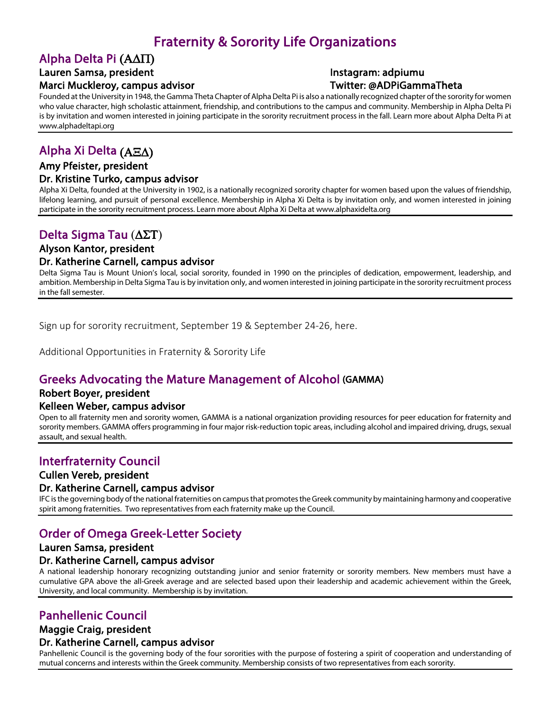## Fraternity & Sorority Life Organizations

## Alpha Delta Pi  $(A\Delta\Pi)$

## Lauren Samsa, president and a series of the Instagram: adpiumu

### Marci Muckleroy, campus advisor New York Controllers and Twitter: @ADPiGammaTheta

Founded at the University in 1948, the Gamma Theta Chapter of Alpha Delta Pi is also a nationally recognized chapter of the sorority for women who value character, high scholastic attainment, friendship, and contributions to the campus and community. Membership in Alpha Delta Pi is by invitation and women interested in joining participate in the sorority recruitment process in the fall. Learn more about Alpha Delta Pi at www.alphadeltapi.org

## Alpha Xi Delta  $(A\Xi\Delta)$

## Amy Pfeister, president

### Dr. Kristine Turko, campus advisor

Alpha Xi Delta, founded at the University in 1902, is a nationally recognized sorority chapter for women based upon the values of friendship, lifelong learning, and pursuit of personal excellence. Membership in Alpha Xi Delta is by invitation only, and women interested in joining participate in the sorority recruitment process. Learn more about Alpha Xi Delta at www.alphaxidelta.org

## Delta Sigma Tau  $(\Delta \Sigma T)$

### Alyson Kantor, president

**Dr. Katherine Carnell, campus advisor**<br>Delta Sigma Tau is Mount Union's local, social sorority, founded in 1990 on the principles of dedication, empowerment, leadership, and ambition. Membership in Delta Sigma Tau is by invitation only, and women interested in joining participate in the sorority recruitment process in the fall semester.

Sign up for sorority recruitment, September 19 & September 24-26, here.

Additional Opportunities in Fraternity & Sorority Life

## Greeks Advocating the Mature Management of Alcohol (GAMMA)

### Robert Boyer, president

Kelleen Weber, campus advisor<br>Open to all fraternity men and sorority women, GAMMA is a national organization providing resources for peer education for fraternity and sorority members. GAMMA offers programming in four major risk-reduction topic areas, including alcohol and impaired driving, drugs, sexual assault, and sexual health.

## Interfraternity Council

# Cullen Vereb, president

Dr. Katherine Carnell, campus advisor<br>IFC is the governing body of the national fraternities on campus that promotes the Greek community by maintaining harmony and cooperative spirit among fraternities. Two representatives from each fraternity make up the Council.

## Order of Omega Greek-Letter Society

### Lauren Samsa, president

Dr. Katherine Carnell, campus advisor<br>A national leadership honorary recognizing outstanding junior and senior fraternity or sorority members. New members must have a cumulative GPA above the all-Greek average and are selected based upon their leadership and academic achievement within the Greek, University, and local community. Membership is by invitation.

## Panhellenic Council

### Maggie Craig, president

Dr. Katherine Carnell, campus advisor<br>Panhellenic Council is the governing body of the four sororities with the purpose of fostering a spirit of cooperation and understanding of mutual concerns and interests within the Greek community. Membership consists of two representatives from each sorority.